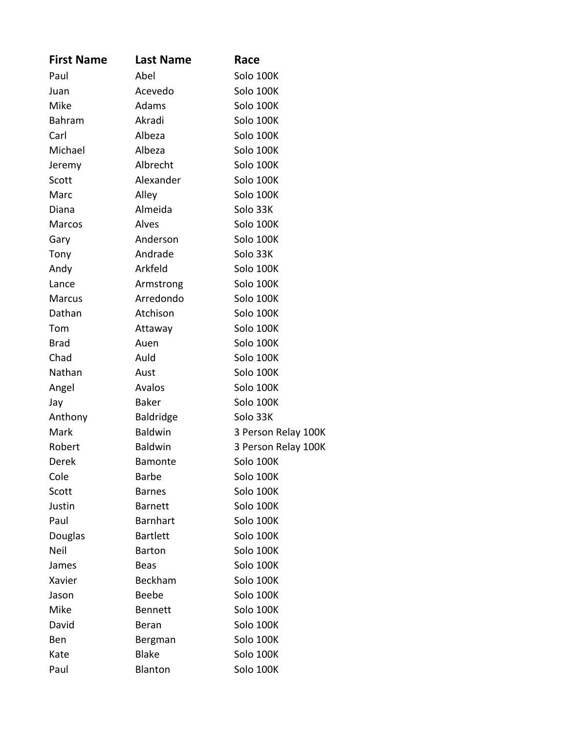| <b>First Name</b> | <b>Last Name</b> | Race                |
|-------------------|------------------|---------------------|
| Paul              | Abel             | Solo 100K           |
| Juan              | Acevedo          | Solo 100K           |
| Mike              | Adams            | Solo 100K           |
| Bahram            | Akradi           | Solo 100K           |
| Carl              | Albeza           | Solo 100K           |
| Michael           | Albeza           | Solo 100K           |
| Jeremy            | Albrecht         | Solo 100K           |
| Scott             | Alexander        | Solo 100K           |
| Marc              | Alley            | Solo 100K           |
| Diana             | Almeida          | Solo 33K            |
| Marcos            | Alves            | Solo 100K           |
| Gary              | Anderson         | Solo 100K           |
| Tony              | Andrade          | Solo 33K            |
| Andy              | Arkfeld          | Solo 100K           |
| Lance             | Armstrong        | Solo 100K           |
| Marcus            | Arredondo        | Solo 100K           |
| Dathan            | Atchison         | Solo 100K           |
| Tom               | Attaway          | Solo 100K           |
| <b>Brad</b>       | Auen             | Solo 100K           |
| Chad              | Auld             | Solo 100K           |
| Nathan            | Aust             | Solo 100K           |
| Angel             | Avalos           | Solo 100K           |
| Jay               | <b>Baker</b>     | Solo 100K           |
| Anthony           | <b>Baldridge</b> | Solo 33K            |
| Mark              | <b>Baldwin</b>   | 3 Person Relay 100K |
| Robert            | <b>Baldwin</b>   | 3 Person Relay 100K |
| Derek             | <b>Bamonte</b>   | Solo 100K           |
| Cole              | <b>Barbe</b>     | Solo 100K           |
| Scott             | <b>Barnes</b>    | Solo 100K           |
| Justin            | <b>Barnett</b>   | Solo 100K           |
| Paul              | <b>Barnhart</b>  | Solo 100K           |
| Douglas           | <b>Bartlett</b>  | Solo 100K           |
| <b>Neil</b>       | <b>Barton</b>    | Solo 100K           |
| James             | <b>Beas</b>      | Solo 100K           |
| Xavier            | <b>Beckham</b>   | Solo 100K           |
| Jason             | <b>Beebe</b>     | Solo 100K           |
| Mike              | <b>Bennett</b>   | Solo 100K           |
| David             | Beran            | Solo 100K           |
| <b>Ben</b>        | Bergman          | Solo 100K           |
| Kate              | <b>Blake</b>     | Solo 100K           |
| Paul              | Blanton          | Solo 100K           |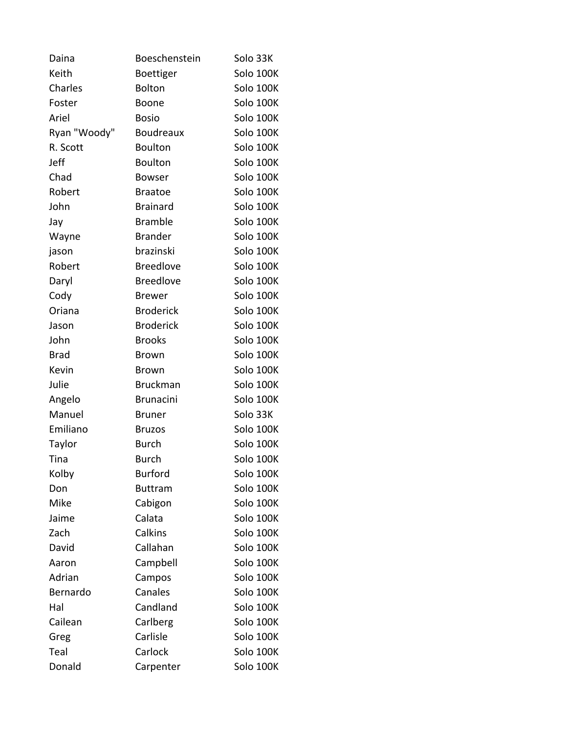| Daina        | Boeschenstein    | Solo 33K  |
|--------------|------------------|-----------|
| Keith        | Boettiger        | Solo 100K |
| Charles      | <b>Bolton</b>    | Solo 100K |
| Foster       | Boone            | Solo 100K |
| Ariel        | <b>Bosio</b>     | Solo 100K |
| Ryan "Woody" | <b>Boudreaux</b> | Solo 100K |
| R. Scott     | Boulton          | Solo 100K |
| Jeff         | <b>Boulton</b>   | Solo 100K |
| Chad         | <b>Bowser</b>    | Solo 100K |
| Robert       | <b>Braatoe</b>   | Solo 100K |
| John         | <b>Brainard</b>  | Solo 100K |
| Jay          | <b>Bramble</b>   | Solo 100K |
| Wayne        | <b>Brander</b>   | Solo 100K |
| jason        | brazinski        | Solo 100K |
| Robert       | <b>Breedlove</b> | Solo 100K |
| Daryl        | <b>Breedlove</b> | Solo 100K |
| Cody         | <b>Brewer</b>    | Solo 100K |
| Oriana       | <b>Broderick</b> | Solo 100K |
| Jason        | <b>Broderick</b> | Solo 100K |
| John         | <b>Brooks</b>    | Solo 100K |
| <b>Brad</b>  | <b>Brown</b>     | Solo 100K |
| Kevin        | <b>Brown</b>     | Solo 100K |
| Julie        | <b>Bruckman</b>  | Solo 100K |
| Angelo       | <b>Brunacini</b> | Solo 100K |
| Manuel       | <b>Bruner</b>    | Solo 33K  |
| Emiliano     | <b>Bruzos</b>    | Solo 100K |
| Taylor       | <b>Burch</b>     | Solo 100K |
| Tina         | <b>Burch</b>     | Solo 100K |
| Kolby        | <b>Burford</b>   | Solo 100K |
| Don          | <b>Buttram</b>   | Solo 100K |
| Mike         | Cabigon          | Solo 100K |
| Jaime        | Calata           | Solo 100K |
| Zach         | Calkins          | Solo 100K |
| David        | Callahan         | Solo 100K |
| Aaron        | Campbell         | Solo 100K |
| Adrian       | Campos           | Solo 100K |
| Bernardo     | Canales          | Solo 100K |
| Hal          | Candland         | Solo 100K |
| Cailean      | Carlberg         | Solo 100K |
| Greg         | Carlisle         | Solo 100K |
| Teal         | Carlock          | Solo 100K |
| Donald       | Carpenter        | Solo 100K |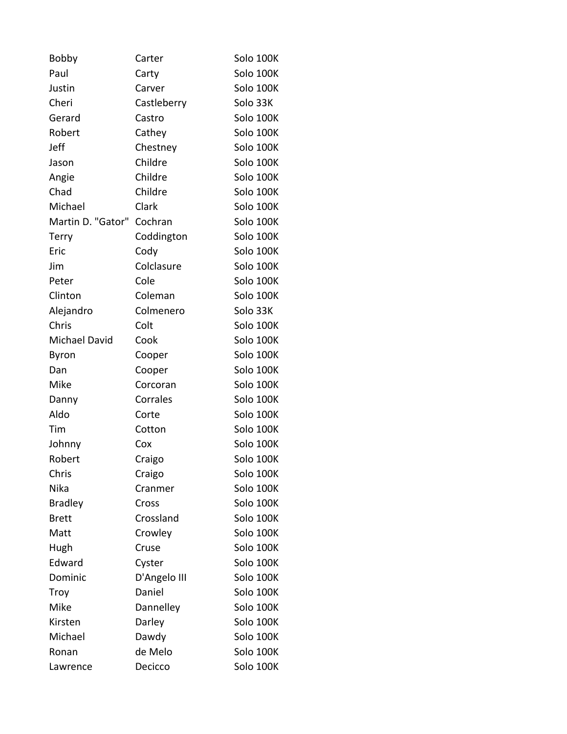| <b>Bobby</b>         | Carter       | Solo 100K |
|----------------------|--------------|-----------|
| Paul                 | Carty        | Solo 100K |
| Justin               | Carver       | Solo 100K |
| Cheri                | Castleberry  | Solo 33K  |
| Gerard               | Castro       | Solo 100K |
| Robert               | Cathey       | Solo 100K |
| Jeff                 | Chestney     | Solo 100K |
| Jason                | Childre      | Solo 100K |
| Angie                | Childre      | Solo 100K |
| Chad                 | Childre      | Solo 100K |
| Michael              | Clark        | Solo 100K |
| Martin D. "Gator"    | Cochran      | Solo 100K |
| Terry                | Coddington   | Solo 100K |
| Eric                 | Cody         | Solo 100K |
| Jim                  | Colclasure   | Solo 100K |
| Peter                | Cole         | Solo 100K |
| Clinton              | Coleman      | Solo 100K |
| Alejandro            | Colmenero    | Solo 33K  |
| Chris                | Colt         | Solo 100K |
| <b>Michael David</b> | Cook         | Solo 100K |
| Byron                | Cooper       | Solo 100K |
| Dan                  | Cooper       | Solo 100K |
| Mike                 | Corcoran     | Solo 100K |
| Danny                | Corrales     | Solo 100K |
| Aldo                 | Corte        | Solo 100K |
| Tim                  | Cotton       | Solo 100K |
| Johnny               | Cox          | Solo 100K |
| Robert               | Craigo       | Solo 100K |
| Chris                | Craigo       | Solo 100K |
| Nika                 | Cranmer      | Solo 100K |
| <b>Bradley</b>       | Cross        | Solo 100K |
| <b>Brett</b>         | Crossland    | Solo 100K |
| Matt                 | Crowley      | Solo 100K |
| Hugh                 | Cruse        | Solo 100K |
| Edward               | Cyster       | Solo 100K |
| Dominic              | D'Angelo III | Solo 100K |
| Troy                 | Daniel       | Solo 100K |
| Mike                 | Dannelley    | Solo 100K |
| Kirsten              | Darley       | Solo 100K |
| Michael              | Dawdy        | Solo 100K |
| Ronan                | de Melo      | Solo 100K |
| Lawrence             | Decicco      | Solo 100K |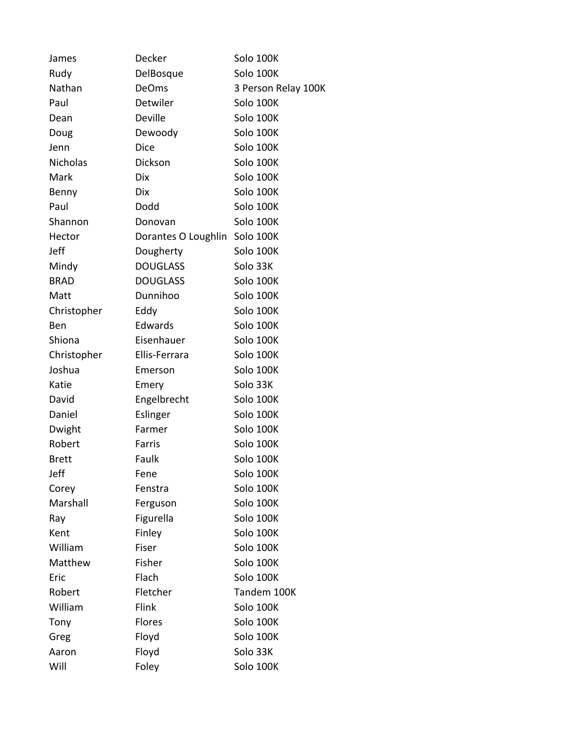| James        | Decker              | Solo 100K           |
|--------------|---------------------|---------------------|
| Rudy         | DelBosque           | Solo 100K           |
| Nathan       | <b>DeOms</b>        | 3 Person Relay 100K |
| Paul         | Detwiler            | Solo 100K           |
| Dean         | <b>Deville</b>      | Solo 100K           |
| Doug         | Dewoody             | Solo 100K           |
| Jenn         | <b>Dice</b>         | Solo 100K           |
| Nicholas     | Dickson             | Solo 100K           |
| Mark         | <b>Dix</b>          | Solo 100K           |
| Benny        | <b>Dix</b>          | Solo 100K           |
| Paul         | Dodd                | Solo 100K           |
| Shannon      | Donovan             | Solo 100K           |
| Hector       | Dorantes O Loughlin | Solo 100K           |
| Jeff         | Dougherty           | Solo 100K           |
| Mindy        | <b>DOUGLASS</b>     | Solo 33K            |
| <b>BRAD</b>  | <b>DOUGLASS</b>     | Solo 100K           |
| Matt         | Dunnihoo            | Solo 100K           |
| Christopher  | Eddy                | Solo 100K           |
| Ben          | Edwards             | Solo 100K           |
| Shiona       | Eisenhauer          | Solo 100K           |
| Christopher  | Ellis-Ferrara       | Solo 100K           |
| Joshua       | Emerson             | Solo 100K           |
| Katie        | Emery               | Solo 33K            |
| David        | Engelbrecht         | Solo 100K           |
| Daniel       | Eslinger            | Solo 100K           |
| Dwight       | Farmer              | Solo 100K           |
| Robert       | Farris              | Solo 100K           |
| <b>Brett</b> | Faulk               | Solo 100K           |
| Jeff         | Fene                | Solo 100K           |
| Corey        | Fenstra             | Solo 100K           |
| Marshall     | Ferguson            | Solo 100K           |
| Ray          | Figurella           | Solo 100K           |
| Kent         | Finley              | Solo 100K           |
| William      | Fiser               | Solo 100K           |
| Matthew      | Fisher              | Solo 100K           |
| Eric         | Flach               | Solo 100K           |
| Robert       | Fletcher            | Tandem 100K         |
| William      | Flink               | Solo 100K           |
| Tony         | <b>Flores</b>       | Solo 100K           |
| Greg         | Floyd               | Solo 100K           |
| Aaron        | Floyd               | Solo 33K            |
| Will         | Foley               | Solo 100K           |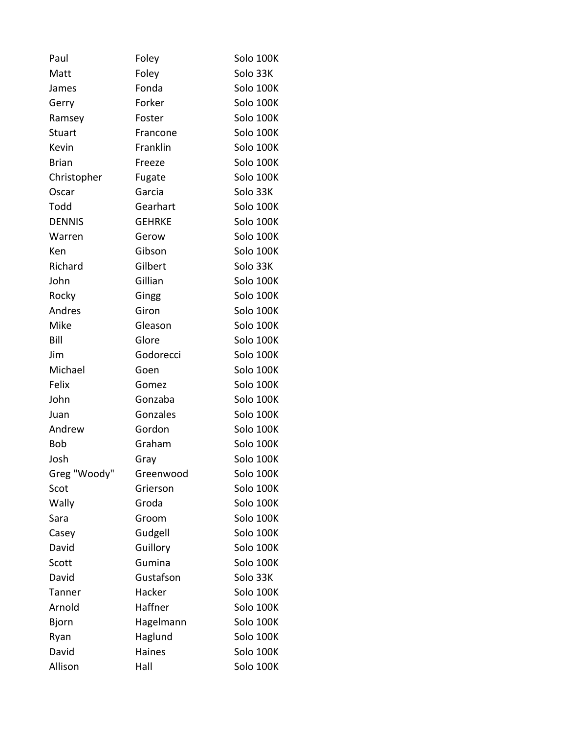| Paul          | Foley         | Solo 100K |
|---------------|---------------|-----------|
| Matt          | Foley         | Solo 33K  |
| James         | Fonda         | Solo 100K |
| Gerry         | Forker        | Solo 100K |
| Ramsey        | Foster        | Solo 100K |
| <b>Stuart</b> | Francone      | Solo 100K |
| Kevin         | Franklin      | Solo 100K |
| <b>Brian</b>  | Freeze        | Solo 100K |
| Christopher   | Fugate        | Solo 100K |
| Oscar         | Garcia        | Solo 33K  |
| Todd          | Gearhart      | Solo 100K |
| <b>DENNIS</b> | <b>GEHRKE</b> | Solo 100K |
| Warren        | Gerow         | Solo 100K |
| Ken           | Gibson        | Solo 100K |
| Richard       | Gilbert       | Solo 33K  |
| John          | Gillian       | Solo 100K |
| Rocky         | Gingg         | Solo 100K |
| Andres        | Giron         | Solo 100K |
| Mike          | Gleason       | Solo 100K |
| Bill          | Glore         | Solo 100K |
| Jim           | Godorecci     | Solo 100K |
| Michael       | Goen          | Solo 100K |
| Felix         | Gomez         | Solo 100K |
| John          | Gonzaba       | Solo 100K |
| Juan          | Gonzales      | Solo 100K |
| Andrew        | Gordon        | Solo 100K |
| <b>Bob</b>    | Graham        | Solo 100K |
| Josh          | Gray          | Solo 100K |
| Greg "Woody"  | Greenwood     | Solo 100K |
| Scot          | Grierson      | Solo 100K |
| Wally         | Groda         | Solo 100K |
| Sara          | Groom         | Solo 100K |
| Casey         | Gudgell       | Solo 100K |
| David         | Guillory      | Solo 100K |
| Scott         | Gumina        | Solo 100K |
| David         | Gustafson     | Solo 33K  |
| <b>Tanner</b> | Hacker        | Solo 100K |
| Arnold        | Haffner       | Solo 100K |
| <b>Bjorn</b>  | Hagelmann     | Solo 100K |
| Ryan          | Haglund       | Solo 100K |
| David         | Haines        | Solo 100K |
| Allison       | Hall          | Solo 100K |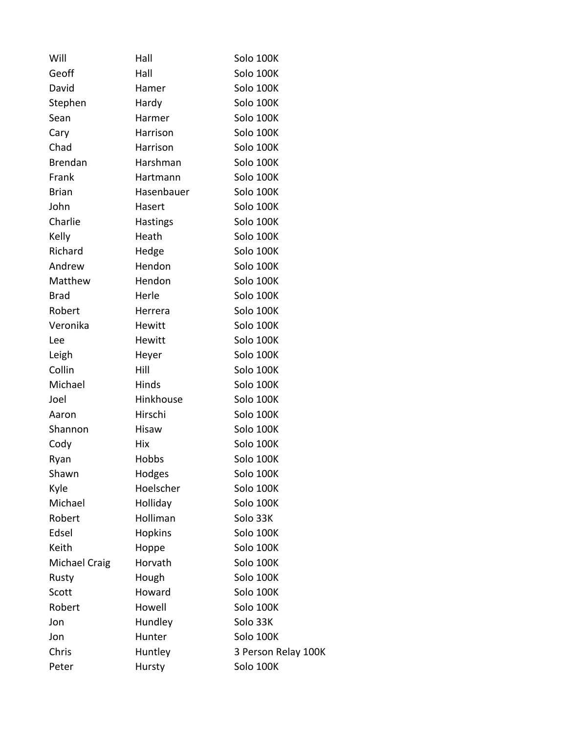| Will           | Hall            | Solo 100K           |
|----------------|-----------------|---------------------|
| Geoff          | Hall            | Solo 100K           |
| David          | Hamer           | Solo 100K           |
| Stephen        | Hardy           | Solo 100K           |
| Sean           | Harmer          | Solo 100K           |
| Cary           | Harrison        | Solo 100K           |
| Chad           | Harrison        | Solo 100K           |
| <b>Brendan</b> | Harshman        | Solo 100K           |
| Frank          | Hartmann        | Solo 100K           |
| <b>Brian</b>   | Hasenbauer      | Solo 100K           |
| John           | Hasert          | Solo 100K           |
| Charlie        | <b>Hastings</b> | Solo 100K           |
| Kelly          | Heath           | Solo 100K           |
| Richard        | Hedge           | Solo 100K           |
| Andrew         | Hendon          | Solo 100K           |
| Matthew        | Hendon          | Solo 100K           |
| <b>Brad</b>    | Herle           | Solo 100K           |
| Robert         | Herrera         | Solo 100K           |
| Veronika       | Hewitt          | Solo 100K           |
| Lee            | Hewitt          | Solo 100K           |
| Leigh          | Heyer           | Solo 100K           |
| Collin         | Hill            | Solo 100K           |
| Michael        | Hinds           | Solo 100K           |
| Joel           | Hinkhouse       | Solo 100K           |
| Aaron          | Hirschi         | Solo 100K           |
| Shannon        | Hisaw           | Solo 100K           |
| Cody           | Hix             | Solo 100K           |
| Ryan           | Hobbs           | Solo 100K           |
| Shawn          | Hodges          | Solo 100K           |
| Kyle           | Hoelscher       | Solo 100K           |
| Michael        | Holliday        | Solo 100K           |
| Robert         | Holliman        | Solo 33K            |
| Edsel          | <b>Hopkins</b>  | Solo 100K           |
| Keith          | Hoppe           | Solo 100K           |
| Michael Craig  | Horvath         | Solo 100K           |
| Rusty          | Hough           | Solo 100K           |
| Scott          | Howard          | Solo 100K           |
| Robert         | Howell          | Solo 100K           |
| Jon            | Hundley         | Solo 33K            |
| Jon            | Hunter          | Solo 100K           |
| Chris          | Huntley         | 3 Person Relay 100K |
| Peter          | Hursty          | Solo 100K           |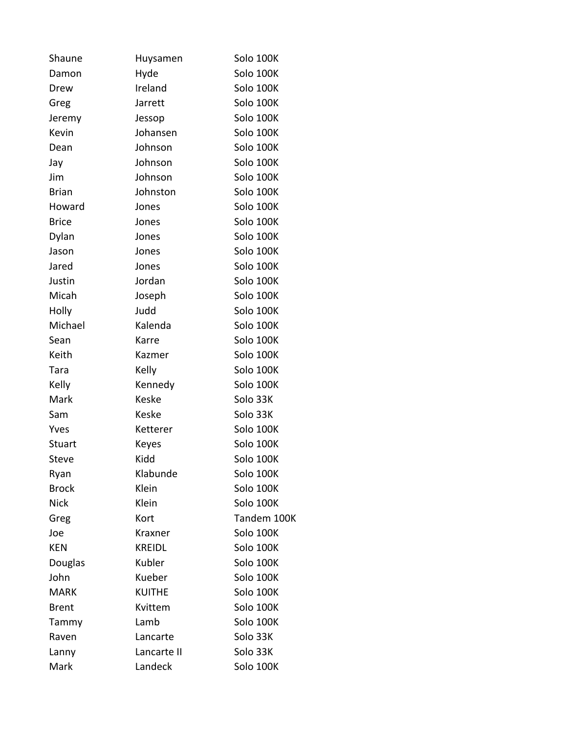| Shaune        | Huysamen      | Solo 100K   |
|---------------|---------------|-------------|
| Damon         | Hyde          | Solo 100K   |
| Drew          | Ireland       | Solo 100K   |
| Greg          | Jarrett       | Solo 100K   |
| Jeremy        | Jessop        | Solo 100K   |
| Kevin         | Johansen      | Solo 100K   |
| Dean          | Johnson       | Solo 100K   |
| Jay           | Johnson       | Solo 100K   |
| Jim           | Johnson       | Solo 100K   |
| <b>Brian</b>  | Johnston      | Solo 100K   |
| Howard        | Jones         | Solo 100K   |
| <b>Brice</b>  | Jones         | Solo 100K   |
| Dylan         | Jones         | Solo 100K   |
| Jason         | Jones         | Solo 100K   |
| Jared         | Jones         | Solo 100K   |
| Justin        | Jordan        | Solo 100K   |
| Micah         | Joseph        | Solo 100K   |
| Holly         | Judd          | Solo 100K   |
| Michael       | Kalenda       | Solo 100K   |
| Sean          | Karre         | Solo 100K   |
| Keith         | Kazmer        | Solo 100K   |
| Tara          | Kelly         | Solo 100K   |
| Kelly         | Kennedy       | Solo 100K   |
| Mark          | <b>Keske</b>  | Solo 33K    |
| Sam           | Keske         | Solo 33K    |
| Yves          | Ketterer      | Solo 100K   |
| <b>Stuart</b> | Keyes         | Solo 100K   |
| Steve         | Kidd          | Solo 100K   |
| Ryan          | Klabunde      | Solo 100K   |
| <b>Brock</b>  | Klein         | Solo 100K   |
| <b>Nick</b>   | Klein         | Solo 100K   |
| Greg          | Kort          | Tandem 100K |
| Joe           | Kraxner       | Solo 100K   |
| <b>KEN</b>    | <b>KREIDL</b> | Solo 100K   |
| Douglas       | Kubler        | Solo 100K   |
| John          | Kueber        | Solo 100K   |
| <b>MARK</b>   | <b>KUITHE</b> | Solo 100K   |
| <b>Brent</b>  | Kvittem       | Solo 100K   |
| Tammy         | Lamb          | Solo 100K   |
| Raven         | Lancarte      | Solo 33K    |
| Lanny         | Lancarte II   | Solo 33K    |
| Mark          | Landeck       | Solo 100K   |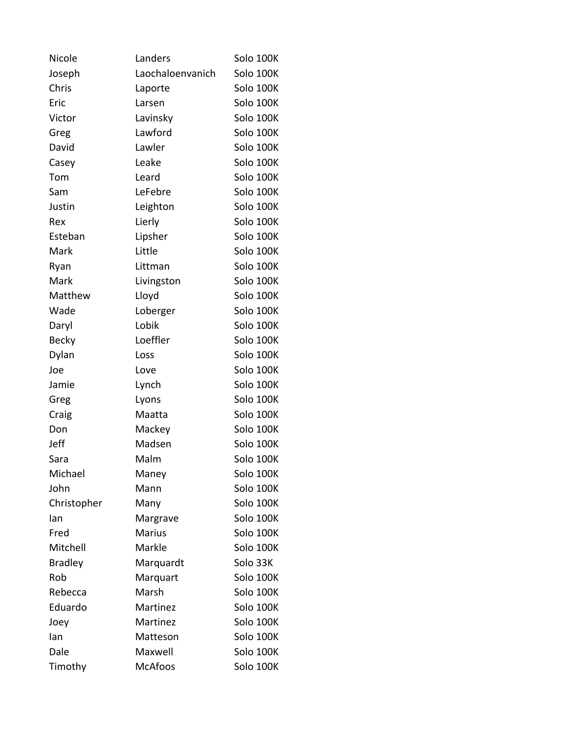| Nicole         | Landers          | Solo 100K |
|----------------|------------------|-----------|
| Joseph         | Laochaloenvanich | Solo 100K |
| Chris          | Laporte          | Solo 100K |
| Eric           | Larsen           | Solo 100K |
| Victor         | Lavinsky         | Solo 100K |
| Greg           | Lawford          | Solo 100K |
| David          | Lawler           | Solo 100K |
| Casey          | Leake            | Solo 100K |
| Tom            | Leard            | Solo 100K |
| Sam            | LeFebre          | Solo 100K |
| Justin         | Leighton         | Solo 100K |
| Rex            | Lierly           | Solo 100K |
| Esteban        | Lipsher          | Solo 100K |
| Mark           | Little           | Solo 100K |
| Ryan           | Littman          | Solo 100K |
| Mark           | Livingston       | Solo 100K |
| Matthew        | Lloyd            | Solo 100K |
| Wade           | Loberger         | Solo 100K |
| Daryl          | Lobik            | Solo 100K |
| <b>Becky</b>   | Loeffler         | Solo 100K |
| Dylan          | Loss             | Solo 100K |
| Joe            | Love             | Solo 100K |
| Jamie          | Lynch            | Solo 100K |
| Greg           | Lyons            | Solo 100K |
| Craig          | Maatta           | Solo 100K |
| Don            | Mackey           | Solo 100K |
| Jeff           | Madsen           | Solo 100K |
| Sara           | Malm             | Solo 100K |
| Michael        | Maney            | Solo 100K |
| John           | Mann             | Solo 100K |
| Christopher    | Many             | Solo 100K |
| lan            | Margrave         | Solo 100K |
| Fred           | <b>Marius</b>    | Solo 100K |
| Mitchell       | Markle           | Solo 100K |
| <b>Bradley</b> | Marquardt        | Solo 33K  |
| Rob            | Marquart         | Solo 100K |
| Rebecca        | Marsh            | Solo 100K |
| Eduardo        | Martinez         | Solo 100K |
| Joey           | Martinez         | Solo 100K |
| lan            | Matteson         | Solo 100K |
| Dale           | Maxwell          | Solo 100K |
| Timothy        | <b>McAfoos</b>   | Solo 100K |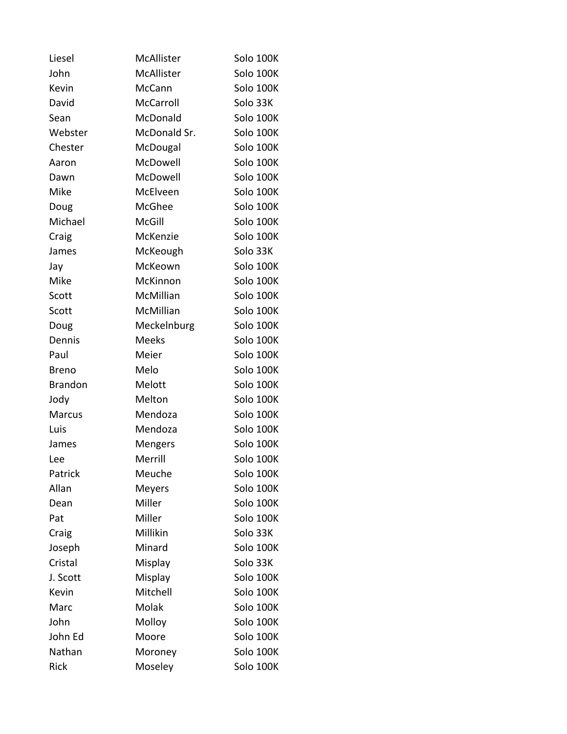| Liesel         | McAllister     | Solo 100K |
|----------------|----------------|-----------|
| John           | McAllister     | Solo 100K |
| Kevin          | <b>McCann</b>  | Solo 100K |
| David          | McCarroll      | Solo 33K  |
| Sean           | McDonald       | Solo 100K |
| Webster        | McDonald Sr.   | Solo 100K |
| Chester        | McDougal       | Solo 100K |
| Aaron          | McDowell       | Solo 100K |
| Dawn           | McDowell       | Solo 100K |
| Mike           | McElveen       | Solo 100K |
| Doug           | McGhee         | Solo 100K |
| Michael        | McGill         | Solo 100K |
| Craig          | McKenzie       | Solo 100K |
| James          | McKeough       | Solo 33K  |
| Jay            | McKeown        | Solo 100K |
| Mike           | McKinnon       | Solo 100K |
| Scott          | McMillian      | Solo 100K |
| Scott          | McMillian      | Solo 100K |
| Doug           | Meckelnburg    | Solo 100K |
| Dennis         | <b>Meeks</b>   | Solo 100K |
| Paul           | Meier          | Solo 100K |
| <b>Breno</b>   | Melo           | Solo 100K |
| <b>Brandon</b> | Melott         | Solo 100K |
| Jody           | Melton         | Solo 100K |
| Marcus         | Mendoza        | Solo 100K |
| Luis           | Mendoza        | Solo 100K |
| James          | <b>Mengers</b> | Solo 100K |
| Lee            | Merrill        | Solo 100K |
| Patrick        | Meuche         | Solo 100K |
| Allan          | <b>Meyers</b>  | Solo 100K |
| Dean           | Miller         | Solo 100K |
| Pat            | Miller         | Solo 100K |
| Craig          | Millikin       | Solo 33K  |
| Joseph         | Minard         | Solo 100K |
| Cristal        | Misplay        | Solo 33K  |
| J. Scott       | Misplay        | Solo 100K |
| Kevin          | Mitchell       | Solo 100K |
| Marc           | Molak          | Solo 100K |
| John           | Molloy         | Solo 100K |
| John Ed        | Moore          | Solo 100K |
| Nathan         | Moroney        | Solo 100K |
| Rick           | Moseley        | Solo 100K |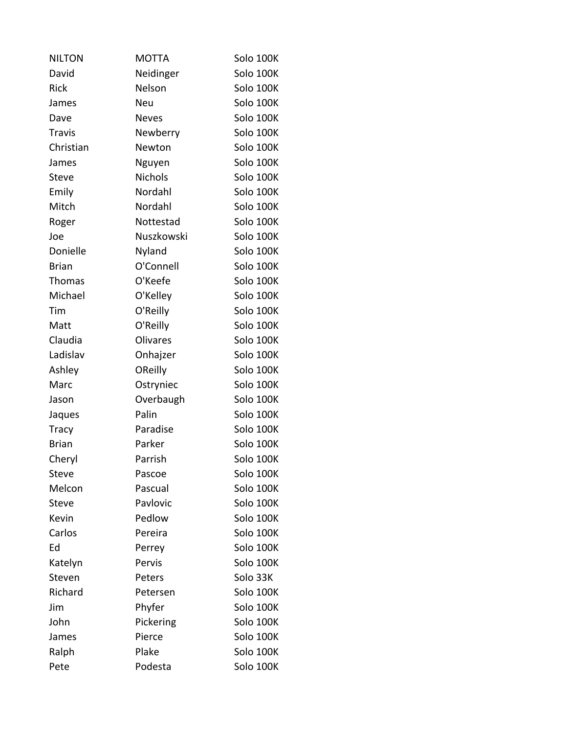| <b>NILTON</b> | <b>MOTTA</b>    | Solo 100K |
|---------------|-----------------|-----------|
| David         | Neidinger       | Solo 100K |
| Rick          | Nelson          | Solo 100K |
| James         | <b>Neu</b>      | Solo 100K |
| Dave          | <b>Neves</b>    | Solo 100K |
| <b>Travis</b> | Newberry        | Solo 100K |
| Christian     | Newton          | Solo 100K |
| James         | Nguyen          | Solo 100K |
| <b>Steve</b>  | <b>Nichols</b>  | Solo 100K |
| Emily         | Nordahl         | Solo 100K |
| Mitch         | Nordahl         | Solo 100K |
| Roger         | Nottestad       | Solo 100K |
| Joe           | Nuszkowski      | Solo 100K |
| Donielle      | Nyland          | Solo 100K |
| <b>Brian</b>  | O'Connell       | Solo 100K |
| <b>Thomas</b> | O'Keefe         | Solo 100K |
| Michael       | O'Kelley        | Solo 100K |
| Tim           | O'Reilly        | Solo 100K |
| Matt          | O'Reilly        | Solo 100K |
| Claudia       | <b>Olivares</b> | Solo 100K |
| Ladislav      | Onhajzer        | Solo 100K |
| Ashley        | OReilly         | Solo 100K |
| Marc          | Ostryniec       | Solo 100K |
| Jason         | Overbaugh       | Solo 100K |
| Jaques        | Palin           | Solo 100K |
| <b>Tracy</b>  | Paradise        | Solo 100K |
| <b>Brian</b>  | Parker          | Solo 100K |
| Cheryl        | Parrish         | Solo 100K |
| Steve         | Pascoe          | Solo 100K |
| Melcon        | Pascual         | Solo 100K |
| <b>Steve</b>  | Pavlovic        | Solo 100K |
| Kevin         | Pedlow          | Solo 100K |
| Carlos        | Pereira         | Solo 100K |
| Ed            | Perrey          | Solo 100K |
| Katelyn       | Pervis          | Solo 100K |
| Steven        | Peters          | Solo 33K  |
| Richard       | Petersen        | Solo 100K |
| Jim           | Phyfer          | Solo 100K |
| John          | Pickering       | Solo 100K |
| James         | Pierce          | Solo 100K |
| Ralph         | Plake           | Solo 100K |
| Pete          | Podesta         | Solo 100K |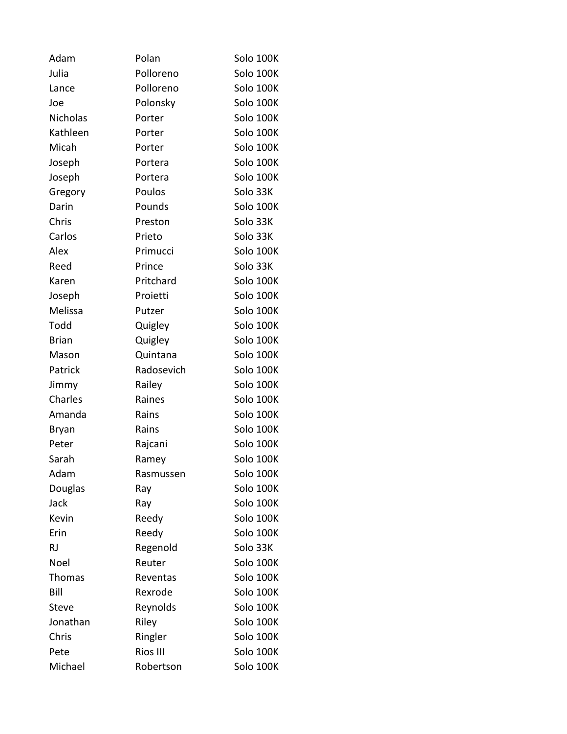| Adam          | Polan      | Solo 100K |
|---------------|------------|-----------|
| Julia         | Polloreno  | Solo 100K |
| Lance         | Polloreno  | Solo 100K |
| Joe           | Polonsky   | Solo 100K |
| Nicholas      | Porter     | Solo 100K |
| Kathleen      | Porter     | Solo 100K |
| Micah         | Porter     | Solo 100K |
| Joseph        | Portera    | Solo 100K |
| Joseph        | Portera    | Solo 100K |
| Gregory       | Poulos     | Solo 33K  |
| Darin         | Pounds     | Solo 100K |
| Chris         | Preston    | Solo 33K  |
| Carlos        | Prieto     | Solo 33K  |
| Alex          | Primucci   | Solo 100K |
| Reed          | Prince     | Solo 33K  |
| Karen         | Pritchard  | Solo 100K |
| Joseph        | Proietti   | Solo 100K |
| Melissa       | Putzer     | Solo 100K |
| Todd          | Quigley    | Solo 100K |
| <b>Brian</b>  | Quigley    | Solo 100K |
| Mason         | Quintana   | Solo 100K |
| Patrick       | Radosevich | Solo 100K |
| Jimmy         | Railey     | Solo 100K |
| Charles       | Raines     | Solo 100K |
| Amanda        | Rains      | Solo 100K |
| Bryan         | Rains      | Solo 100K |
| Peter         | Rajcani    | Solo 100K |
| Sarah         | Ramey      | Solo 100K |
| Adam          | Rasmussen  | Solo 100K |
| Douglas       | Ray        | Solo 100K |
| Jack          | Ray        | Solo 100K |
| Kevin         | Reedy      | Solo 100K |
| Erin          | Reedy      | Solo 100K |
| <b>RJ</b>     | Regenold   | Solo 33K  |
| Noel          | Reuter     | Solo 100K |
| <b>Thomas</b> | Reventas   | Solo 100K |
| Bill          | Rexrode    | Solo 100K |
| Steve         | Reynolds   | Solo 100K |
| Jonathan      | Riley      | Solo 100K |
| Chris         | Ringler    | Solo 100K |
| Pete          | Rios III   | Solo 100K |
| Michael       | Robertson  | Solo 100K |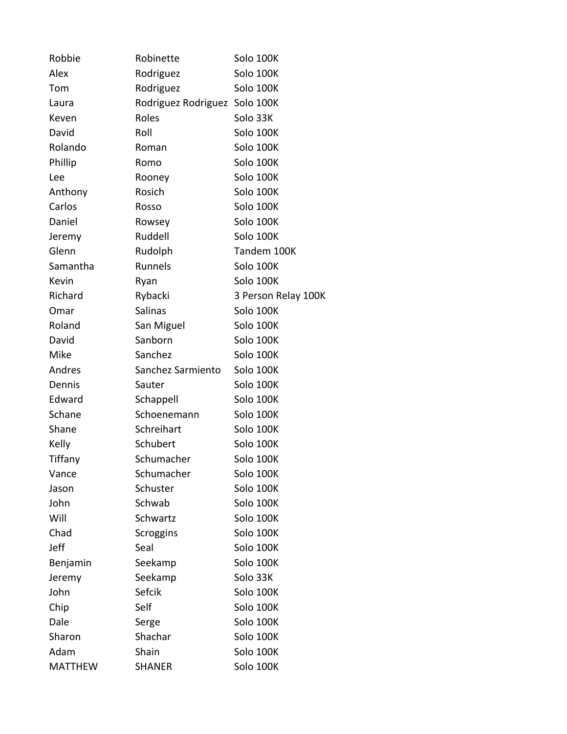| Robbie         | Robinette                     | Solo 100K           |
|----------------|-------------------------------|---------------------|
| Alex           | Rodriguez                     | Solo 100K           |
| Tom            | Rodriguez                     | Solo 100K           |
| Laura          | Rodriguez Rodriguez Solo 100K |                     |
| Keven          | Roles                         | Solo 33K            |
| David          | Roll                          | Solo 100K           |
| Rolando        | Roman                         | Solo 100K           |
| Phillip        | Romo                          | Solo 100K           |
| Lee            | Rooney                        | Solo 100K           |
| Anthony        | Rosich                        | Solo 100K           |
| Carlos         | Rosso                         | Solo 100K           |
| Daniel         | Rowsey                        | Solo 100K           |
| Jeremy         | Ruddell                       | Solo 100K           |
| Glenn          | Rudolph                       | Tandem 100K         |
| Samantha       | Runnels                       | Solo 100K           |
| Kevin          | Ryan                          | Solo 100K           |
| Richard        | Rybacki                       | 3 Person Relay 100K |
| Omar           | <b>Salinas</b>                | Solo 100K           |
| Roland         | San Miguel                    | Solo 100K           |
| David          | Sanborn                       | Solo 100K           |
| Mike           | Sanchez                       | Solo 100K           |
| Andres         | Sanchez Sarmiento             | Solo 100K           |
| Dennis         | Sauter                        | Solo 100K           |
| Edward         | Schappell                     | Solo 100K           |
| Schane         | Schoenemann                   | Solo 100K           |
| Shane          | Schreihart                    | Solo 100K           |
| Kelly          | Schubert                      | Solo 100K           |
| Tiffany        | Schumacher                    | Solo 100K           |
| Vance          | Schumacher                    | Solo 100K           |
| Jason          | Schuster                      | Solo 100K           |
| John           | Schwab                        | Solo 100K           |
| Will           | Schwartz                      | Solo 100K           |
| Chad           | Scroggins                     | Solo 100K           |
| Jeff           | Seal                          | Solo 100K           |
| Benjamin       | Seekamp                       | Solo 100K           |
| Jeremy         | Seekamp                       | Solo 33K            |
| John           | Sefcik                        | Solo 100K           |
| Chip           | Self                          | Solo 100K           |
| Dale           | Serge                         | Solo 100K           |
| Sharon         | Shachar                       | Solo 100K           |
| Adam           | Shain                         | Solo 100K           |
| <b>MATTHEW</b> | <b>SHANER</b>                 | Solo 100K           |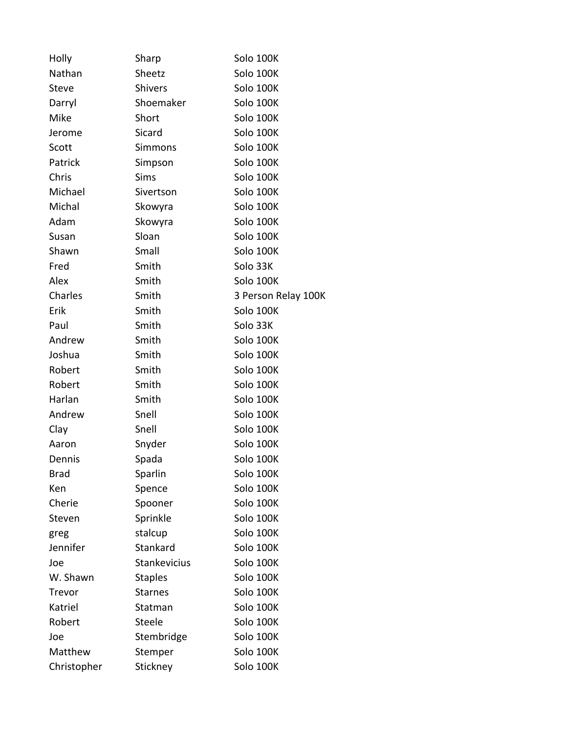| Holly        | Sharp          | Solo 100K           |
|--------------|----------------|---------------------|
| Nathan       | Sheetz         | Solo 100K           |
| <b>Steve</b> | <b>Shivers</b> | Solo 100K           |
| Darryl       | Shoemaker      | Solo 100K           |
| Mike         | Short          | Solo 100K           |
| Jerome       | Sicard         | Solo 100K           |
| Scott        | Simmons        | Solo 100K           |
| Patrick      | Simpson        | Solo 100K           |
| Chris        | <b>Sims</b>    | Solo 100K           |
| Michael      | Sivertson      | Solo 100K           |
| Michal       | Skowyra        | Solo 100K           |
| Adam         | Skowyra        | Solo 100K           |
| Susan        | Sloan          | Solo 100K           |
| Shawn        | Small          | Solo 100K           |
| Fred         | Smith          | Solo 33K            |
| Alex         | Smith          | Solo 100K           |
| Charles      | Smith          | 3 Person Relay 100K |
| Erik         | Smith          | Solo 100K           |
| Paul         | Smith          | Solo 33K            |
| Andrew       | Smith          | Solo 100K           |
| Joshua       | Smith          | Solo 100K           |
| Robert       | Smith          | Solo 100K           |
| Robert       | Smith          | Solo 100K           |
| Harlan       | Smith          | Solo 100K           |
| Andrew       | Snell          | Solo 100K           |
| Clay         | Snell          | Solo 100K           |
| Aaron        | Snyder         | Solo 100K           |
| Dennis       | Spada          | Solo 100K           |
| <b>Brad</b>  | Sparlin        | Solo 100K           |
| Ken          | Spence         | Solo 100K           |
| Cherie       | Spooner        | Solo 100K           |
| Steven       | Sprinkle       | Solo 100K           |
| greg         | stalcup        | Solo 100K           |
| Jennifer     | Stankard       | Solo 100K           |
| Joe          | Stankevicius   | Solo 100K           |
| W. Shawn     | <b>Staples</b> | Solo 100K           |
| Trevor       | <b>Starnes</b> | Solo 100K           |
| Katriel      | Statman        | Solo 100K           |
| Robert       | Steele         | Solo 100K           |
| Joe          | Stembridge     | Solo 100K           |
| Matthew      | Stemper        | Solo 100K           |
| Christopher  | Stickney       | Solo 100K           |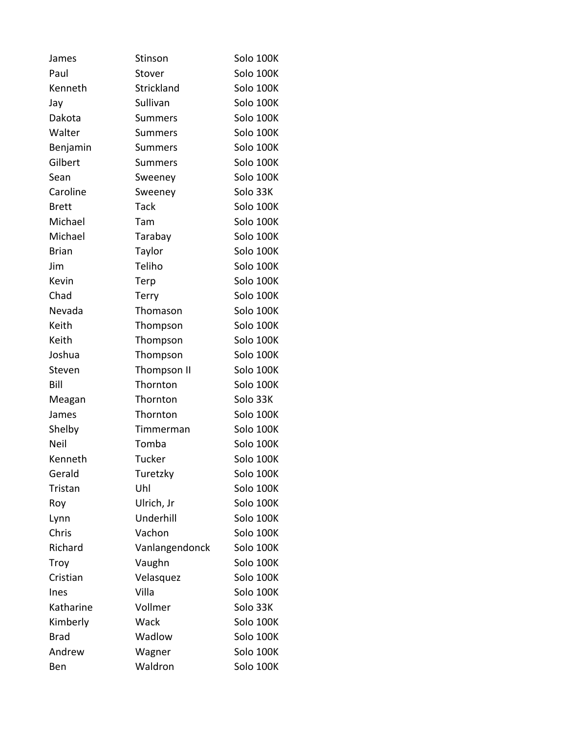| James        | Stinson        | Solo 100K |
|--------------|----------------|-----------|
| Paul         | Stover         | Solo 100K |
| Kenneth      | Strickland     | Solo 100K |
| Jay          | Sullivan       | Solo 100K |
| Dakota       | <b>Summers</b> | Solo 100K |
| Walter       | <b>Summers</b> | Solo 100K |
| Benjamin     | <b>Summers</b> | Solo 100K |
| Gilbert      | <b>Summers</b> | Solo 100K |
| Sean         | Sweeney        | Solo 100K |
| Caroline     | Sweeney        | Solo 33K  |
| <b>Brett</b> | <b>Tack</b>    | Solo 100K |
| Michael      | Tam            | Solo 100K |
| Michael      | Tarabay        | Solo 100K |
| <b>Brian</b> | Taylor         | Solo 100K |
| Jim          | Teliho         | Solo 100K |
| Kevin        | Terp           | Solo 100K |
| Chad         | <b>Terry</b>   | Solo 100K |
| Nevada       | Thomason       | Solo 100K |
| Keith        | Thompson       | Solo 100K |
| Keith        | Thompson       | Solo 100K |
| Joshua       | Thompson       | Solo 100K |
| Steven       | Thompson II    | Solo 100K |
| Bill         | Thornton       | Solo 100K |
| Meagan       | Thornton       | Solo 33K  |
| James        | Thornton       | Solo 100K |
| Shelby       | Timmerman      | Solo 100K |
| Neil         | Tomba          | Solo 100K |
| Kenneth      | <b>Tucker</b>  | Solo 100K |
| Gerald       | Turetzky       | Solo 100K |
| Tristan      | Uhl            | Solo 100K |
| Roy          | Ulrich, Jr     | Solo 100K |
| Lynn         | Underhill      | Solo 100K |
| Chris        | Vachon         | Solo 100K |
| Richard      | Vanlangendonck | Solo 100K |
| Troy         | Vaughn         | Solo 100K |
| Cristian     | Velasquez      | Solo 100K |
| Ines         | Villa          | Solo 100K |
| Katharine    | Vollmer        | Solo 33K  |
| Kimberly     | Wack           | Solo 100K |
| <b>Brad</b>  | Wadlow         | Solo 100K |
| Andrew       | Wagner         | Solo 100K |
| Ben          | Waldron        | Solo 100K |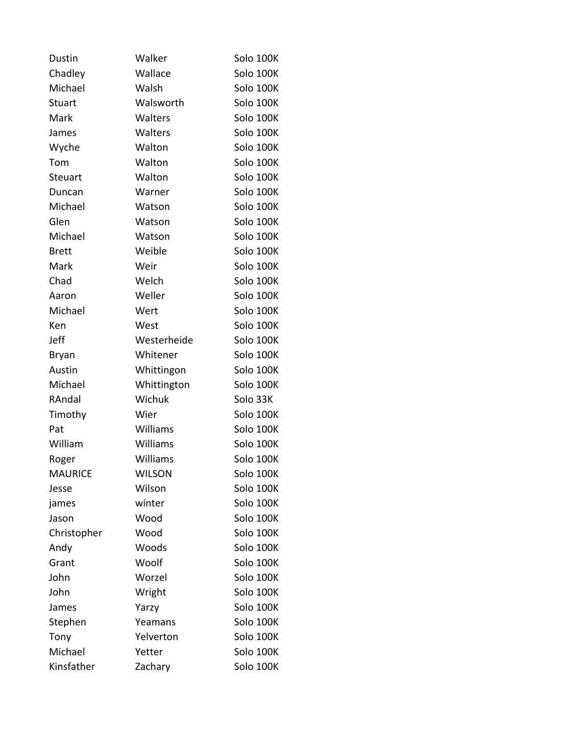| <b>Dustin</b>  | Walker        | Solo 100K |
|----------------|---------------|-----------|
| Chadley        | Wallace       | Solo 100K |
| Michael        | Walsh         | Solo 100K |
| <b>Stuart</b>  | Walsworth     | Solo 100K |
| Mark           | Walters       | Solo 100K |
| James          | Walters       | Solo 100K |
| Wyche          | Walton        | Solo 100K |
| Tom            | Walton        | Solo 100K |
| <b>Steuart</b> | Walton        | Solo 100K |
| Duncan         | Warner        | Solo 100K |
| Michael        | Watson        | Solo 100K |
| Glen           | Watson        | Solo 100K |
| Michael        | Watson        | Solo 100K |
| <b>Brett</b>   | Weible        | Solo 100K |
| Mark           | Weir          | Solo 100K |
| Chad           | Welch         | Solo 100K |
| Aaron          | Weller        | Solo 100K |
| Michael        | Wert          | Solo 100K |
| Ken            | West          | Solo 100K |
| Jeff           | Westerheide   | Solo 100K |
| <b>Bryan</b>   | Whitener      | Solo 100K |
| Austin         | Whittingon    | Solo 100K |
| Michael        | Whittington   | Solo 100K |
| RAndal         | Wichuk        | Solo 33K  |
| Timothy        | Wier          | Solo 100K |
| Pat            | Williams      | Solo 100K |
| William        | Williams      | Solo 100K |
| Roger          | Williams      | Solo 100K |
| <b>MAURICE</b> | <b>WILSON</b> | Solo 100K |
| Jesse          | Wilson        | Solo 100K |
| james          | winter        | Solo 100K |
| Jason          | Wood          | Solo 100K |
| Christopher    | Wood          | Solo 100K |
| Andy           | Woods         | Solo 100K |
| Grant          | Woolf         | Solo 100K |
| John           | Worzel        | Solo 100K |
| John           | Wright        | Solo 100K |
| James          | Yarzy         | Solo 100K |
| Stephen        | Yeamans       | Solo 100K |
| Tony           | Yelverton     | Solo 100K |
| Michael        | Yetter        | Solo 100K |
| Kinsfather     | Zachary       | Solo 100K |